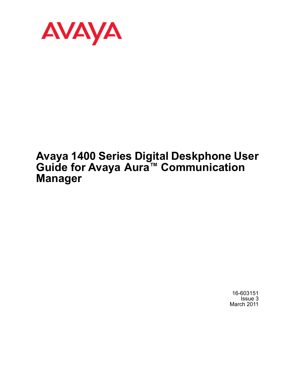

# **Avaya 1400 Series Digital Deskphone User Guide for Avaya Aura™ Communication Manager**

16-603151 Issue 3 March 2011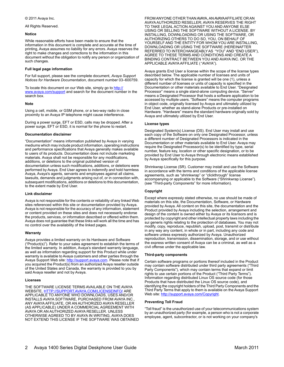<span id="page-1-0"></span>All Rights Reserved.

#### **Notice**

While reasonable efforts have been made to ensure that the information in this document is complete and accurate at the time of printing, Avaya assumes no liability for any errors. Avaya reserves the right to make changes and corrections to the information in this document without the obligation to notify any person or organization of such changes.

#### **Full legal page information**

For full support, please see the complete document, *Avaya Support Notices for Hardware Documentation*, document number 03–600759.

To locate this document on our Web site, simply go to [http://](http://www.avaya.com/support) [www.avaya.com/support](http://www.avaya.com/support) and search for the document number in the search box.

#### **Note**

Using a cell, mobile, or GSM phone, or a two-way radio in close proximity to an Avaya IP telephone might cause interference.

During a power surge, EFT or ESD, calls may be dropped. After a power surge, EFT or ESD, it is normal for the phone to restart.

#### **Documentation disclaimer**

"Documentation" means information published by Avaya in varying mediums which may include product information, operating instructions and performance specifications that Avaya generally makes available to users of its products. Documentation does not include marketing materials. Avaya shall not be responsible for any modifications, additions, or deletions to the original published version of documentation unless such modifications, additions, or deletions were performed by Avaya. End User agrees to indemnify and hold harmless Avaya, Avaya's agents, servants and employees against all claims, lawsuits, demands and judgments arising out of, or in connection with, subsequent modifications, additions or deletions to this documentation, to the extent made by End User.

#### **Link disclaimer**

Avaya is not responsible for the contents or reliability of any linked Web sites referenced within this site or documentation provided by Avaya. Avaya is not responsible for the accuracy of any information, statement or content provided on these sites and does not necessarily endorse the products, services, or information described or offered within them. Avaya does not guarantee that these links will work all the time and has no control over the availability of the linked pages.

#### **Warranty**

Avaya provides a limited warranty on its Hardware and Software ("Product(s)"). Refer to your sales agreement to establish the terms of the limited warranty. In addition, Avaya's standard warranty language, as well as information regarding support for this Product while under warranty is available to Avaya customers and other parties through the Avaya Support Web site: [http://support.avaya.com.](http://support.avaya.com) Please note that if you acquired the Product(s) from an authorized Avaya reseller outside of the United States and Canada, the warranty is provided to you by said Avaya reseller and not by Avaya.

#### **Licenses**

THE SOFTWARE LICENSE TERMS AVAILABLE ON THE AVAYA WEBSITE, [HTTP://SUPPORT.AVAYA.COM/LICENSEINFO/](http://www.avaya.com/support/LicenseInfo) ARE APPLICABLE TO ANYONE WHO DOWNLOADS, USES AND/OR INSTALLS AVAYA SOFTWARE, PURCHASED FROM AVAYA INC., ANY AVAYA AFFILIATE, OR AN AUTHORIZED AVAYA RESELLER (AS APPLICABLE) UNDER A COMMERCIAL AGREEMENT WITH AVAYA OR AN AUTHORIZED AVAYA RESELLER. UNLESS OTHERWISE AGREED TO BY AVAYA IN WRITING, AVAYA DOES NOT EXTEND THIS LICENSE IF THE SOFTWARE WAS OBTAINED

FROM ANYONE OTHER THAN AVAYA, AN AVAYA AFFILIATE OR AN AVAYA AUTHORIZED RESELLER; AVAYA RESERVES THE RIGHT TO TAKE LEGAL ACTION AGAINST YOU AND ANYONE ELSE USING OR SELLING THE SOFTWARE WITHOUT A LICENSE. BY INSTALLING, DOWNLOADING OR USING THE SOFTWARE, OR AUTHORIZING OTHERS TO DO SO, YOU, ON BEHALF OF YOURSELF AND THE ENTITY FOR WHOM YOU ARE INSTALLING, DOWNLOADING OR USING THE SOFTWARE (HEREINAFTER REFERRED TO INTERCHANGEABLY AS "YOU" AND "END USER"), AGREE TO THESE TERMS AND CONDITIONS AND CREATE A BINDING CONTRACT BETWEEN YOU AND AVAYA INC. OR THE APPLICABLE AVAYA AFFILIATE ( "AVAYA").

Avaya grants End User a license within the scope of the license types described below. The applicable number of licenses and units of capacity for which the license is granted will be one (1), unless a different number of licenses or units of capacity is specified in the Documentation or other materials available to End User. "Designated Processor" means a single stand-alone computing device. "Server" means a Designated Processor that hosts a software application to be accessed by multiple users. "Software" means the computer programs in object code, originally licensed by Avaya and ultimately utilized by End User, whether as stand-alone Products or pre-installed on Hardware. "Hardware" means the standard hardware originally sold by Avaya and ultimately utilized by End User.

#### **License types**

Designated System(s) License (DS). End User may install and use each copy of the Software on only one Designated Processor, unless a different number of Designated Processors is indicated in the Documentation or other materials available to End User. Avaya may require the Designated Processor(s) to be identified by type, serial number, feature key, location or other specific designation, or to be provided by End User to Avaya through electronic means established by Avaya specifically for this purpose.

Shrinkwrap License (SR). Customer may install and use the Software in accordance with the terms and conditions of the applicable license agreements, such as "shrinkwrap" or "clickthrough" license accompanying or applicable to the Software ("Shrinkwrap License"). (see "Third-party Components" for more information).

#### **Copyright**

Except where expressly stated otherwise, no use should be made of materials on this site, the Documentation, Software, or Hardware provided by Avaya. All content on this site, the documentation and the Product provided by Avaya including the selection, arrangement and design of the content is owned either by Avaya or its licensors and is protected by copyright and other intellectual property laws including the sui generis rights relating to the protection of databases. You may not modify, copy, reproduce, republish, upload, post, transmit or distribute in any way any content, in whole or in part, including any code and software unless expressly authorized by Avaya. Unauthorized reproduction, transmission, dissemination, storage, and or use without the express written consent of Avaya can be a criminal, as well as a civil offense under the applicable law.

#### **Third-party components**

Certain software programs or portions thereof included in the Product may contain software distributed under third party agreements ("Third Party Components"), which may contain terms that expand or limit rights to use certain portions of the Product ("Third Party Terms"). Information regarding distributed Linux OS source code (for those Products that have distributed the Linux OS source code), and identifying the copyright holders of the Third Party Components and the Third Party Terms that apply to them is available on the Avaya Support Web site:<http://support.avaya.com/Copyright>.

#### **Preventing Toll Fraud**

"Toll fraud" is the unauthorized use of your telecommunications system by an unauthorized party (for example, a person who is not a corporate employee, agent, subcontractor, or is not working on your company's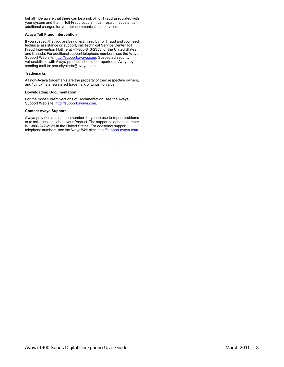behalf). Be aware that there can be a risk of Toll Fraud associated with your system and that, if Toll Fraud occurs, it can result in substantial additional charges for your telecommunications services.

#### **Avaya Toll Fraud Intervention**

If you suspect that you are being victimized by Toll Fraud and you need technical assistance or support, call Technical Service Center Toll Fraud Intervention Hotline at +1-800-643-2353 for the United States and Canada. For additional support telephone numbers, see the Avaya Support Web site: <http://support.avaya.com>. Suspected security vulnerabilities with Avaya products should be reported to Avaya by sending mail to: securityalerts@avaya.com.

#### **Trademarks**

All non-Avaya trademarks are the property of their respective owners, and "Linux" is a registered trademark of Linus Torvalds.

#### **Downloading Documentation**

For the most current versions of Documentation, see the Avaya Support Web site: <http://support.avaya.com>.

#### **Contact Avaya Support**

Avaya provides a telephone number for you to use to report problems or to ask questions about your Product. The support telephone number is 1-800-242-2121 in the United States. For additional support telephone numbers, see the Avaya Web site: [http://support.avaya.com.](http://support.avaya.com)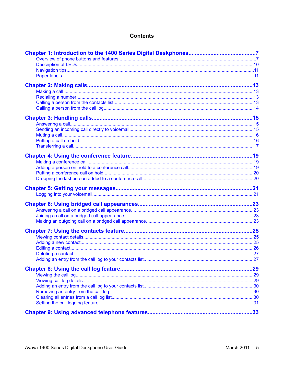#### **Contents**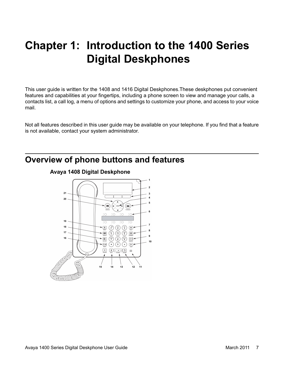# <span id="page-6-0"></span>**Chapter 1: Introduction to the 1400 Series Digital Deskphones**

This user guide is written for the 1408 and 1416 Digital Deskphones.These deskphones put convenient features and capabilities at your fingertips, including a phone screen to view and manage your calls, a contacts list, a call log, a menu of options and settings to customize your phone, and access to your voice mail.

Not all features described in this user guide may be available on your telephone. If you find that a feature is not available, contact your system administrator.



# **Overview of phone buttons and features**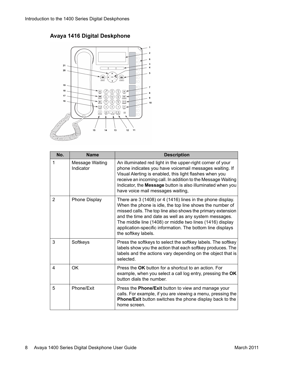

| No.            | <b>Name</b>                  | <b>Description</b>                                                                                                                                                                                                                                                                                                                                                                               |
|----------------|------------------------------|--------------------------------------------------------------------------------------------------------------------------------------------------------------------------------------------------------------------------------------------------------------------------------------------------------------------------------------------------------------------------------------------------|
| 1              | Message Waiting<br>Indicator | An illuminated red light in the upper-right corner of your<br>phone indicates you have voicemail messages waiting. If<br>Visual Alerting is enabled, this light flashes when you<br>receive an incoming call. In addition to the Message Waiting<br>Indicator, the Message button is also illuminated when you<br>have voice mail messages waiting,                                              |
| $\overline{2}$ | Phone Display                | There are 3 (1408) or 4 (1416) lines in the phone display.<br>When the phone is idle, the top line shows the number of<br>missed calls. The top line also shows the primary extension<br>and the time and date as well as any system messages.<br>The middle line (1408) or middle two lines (1416) display<br>application-specific information. The bottom line displays<br>the softkey labels. |
| 3              | Softkeys                     | Press the softkeys to select the softkey labels. The softkey<br>labels show you the action that each softkey produces. The<br>labels and the actions vary depending on the object that is<br>selected.                                                                                                                                                                                           |
| 4              | OK                           | Press the <b>OK</b> button for a shortcut to an action. For<br>example, when you select a call log entry, pressing the OK<br>button dials the number.                                                                                                                                                                                                                                            |
| 5              | Phone/Exit                   | Press the <b>Phone/Exit</b> button to view and manage your<br>calls. For example, if you are viewing a menu, pressing the<br><b>Phone/Exit</b> button switches the phone display back to the<br>home screen.                                                                                                                                                                                     |

#### **Avaya 1416 Digital Deskphone**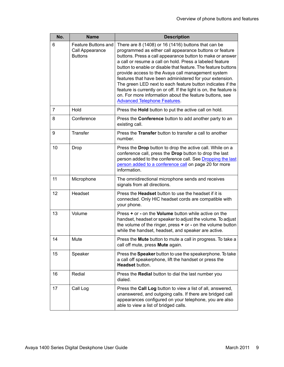| No.            | <b>Name</b>                                                     | <b>Description</b>                                                                                                                                                                                                                                                                                                                                                                                                                                                                                                                                                                                                                                                |
|----------------|-----------------------------------------------------------------|-------------------------------------------------------------------------------------------------------------------------------------------------------------------------------------------------------------------------------------------------------------------------------------------------------------------------------------------------------------------------------------------------------------------------------------------------------------------------------------------------------------------------------------------------------------------------------------------------------------------------------------------------------------------|
| 6              | <b>Feature Buttons and</b><br>Call Appearance<br><b>Buttons</b> | There are $8(1408)$ or 16 (1416) buttons that can be<br>programmed as either call appearance buttons or feature<br>buttons. Press a call appearance button to make or answer<br>a call or resume a call on hold. Press a labeled feature<br>button to enable or disable that feature. The feature buttons<br>provide access to the Avaya call management system<br>features that have been administered for your extension.<br>The green LED next to each feature button indicates if the<br>feature is currently on or off. If the light is on, the feature is<br>on. For more information about the feature buttons, see<br><b>Advanced Telephone Features.</b> |
| $\overline{7}$ | Hold                                                            | Press the Hold button to put the active call on hold.                                                                                                                                                                                                                                                                                                                                                                                                                                                                                                                                                                                                             |
| 8              | Conference                                                      | Press the <b>Conference</b> button to add another party to an<br>existing call.                                                                                                                                                                                                                                                                                                                                                                                                                                                                                                                                                                                   |
| 9              | Transfer                                                        | Press the Transfer button to transfer a call to another<br>number.                                                                                                                                                                                                                                                                                                                                                                                                                                                                                                                                                                                                |
| 10             | Drop                                                            | Press the Drop button to drop the active call. While on a<br>conference call, press the Drop button to drop the last<br>person added to the conference call. See Dropping the last<br>person added to a conference call on page 20 for more<br>information.                                                                                                                                                                                                                                                                                                                                                                                                       |
| 11             | Microphone                                                      | The omnidirectional microphone sends and receives<br>signals from all directions.                                                                                                                                                                                                                                                                                                                                                                                                                                                                                                                                                                                 |
| 12             | Headset                                                         | Press the <b>Headset</b> button to use the headset if it is<br>connected. Only HIC headset cords are compatible with<br>your phone.                                                                                                                                                                                                                                                                                                                                                                                                                                                                                                                               |
| 13             | Volume                                                          | Press + or - on the Volume button while active on the<br>handset, headset or speaker to adjust the volume. To adjust<br>the volume of the ringer, press $+$ or $-$ on the volume button<br>while the handset, headset, and speaker are active.                                                                                                                                                                                                                                                                                                                                                                                                                    |
| 14             | Mute                                                            | Press the <b>Mute</b> button to mute a call in progress. To take a<br>call off mute, press Mute again.                                                                                                                                                                                                                                                                                                                                                                                                                                                                                                                                                            |
| 15             | Speaker                                                         | Press the Speaker button to use the speakerphone. To take<br>a call off speakerphone, lift the handset or press the<br>Headset button.                                                                                                                                                                                                                                                                                                                                                                                                                                                                                                                            |
| 16             | Redial                                                          | Press the Redial button to dial the last number you<br>dialed.                                                                                                                                                                                                                                                                                                                                                                                                                                                                                                                                                                                                    |
| 17             | Call Log                                                        | Press the Call Log button to view a list of all, answered,<br>unanswered, and outgoing calls. If there are bridged call<br>appearances configured on your telephone, you are also<br>able to view a list of bridged calls.                                                                                                                                                                                                                                                                                                                                                                                                                                        |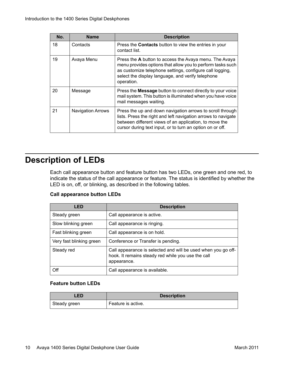<span id="page-9-0"></span>

| No. | <b>Name</b>              | <b>Description</b>                                                                                                                                                                                                                                  |
|-----|--------------------------|-----------------------------------------------------------------------------------------------------------------------------------------------------------------------------------------------------------------------------------------------------|
| 18  | Contacts                 | Press the Contacts button to view the entries in your<br>contact list.                                                                                                                                                                              |
| 19  | Avaya Menu               | Press the A button to access the Avaya menu. The Avaya<br>menu provides options that allow you to perform tasks such<br>as customize telephone settings, configure call logging,<br>select the display language, and verify telephone<br>operation. |
| 20  | Message                  | Press the <b>Message</b> button to connect directly to your voice<br>mail system. This button is illuminated when you have voice<br>mail messages waiting.                                                                                          |
| 21  | <b>Navigation Arrows</b> | Press the up and down navigation arrows to scroll through<br>lists. Press the right and left navigation arrows to navigate<br>between different views of an application, to move the<br>cursor during text input, or to turn an option on or off.   |

# **Description of LEDs**

Each call appearance button and feature button has two LEDs, one green and one red, to indicate the status of the call appearance or feature. The status is identified by whether the LED is on, off, or blinking, as described in the following tables.

#### **Call appearance button LEDs**

| <b>LED</b>               | <b>Description</b>                                                                                                                 |
|--------------------------|------------------------------------------------------------------------------------------------------------------------------------|
| Steady green             | Call appearance is active.                                                                                                         |
| Slow blinking green      | Call appearance is ringing.                                                                                                        |
| Fast blinking green      | Call appearance is on hold.                                                                                                        |
| Very fast blinking green | Conference or Transfer is pending.                                                                                                 |
| Steady red               | Call appearance is selected and will be used when you go off-<br>hook. It remains steady red while you use the call<br>appearance. |
| Off                      | Call appearance is available.                                                                                                      |

#### **Feature button LEDs**

| LED          | <b>Description</b> |
|--------------|--------------------|
| Steady green | Feature is active. |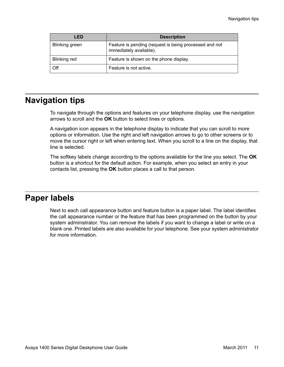<span id="page-10-0"></span>

| LED                 | <b>Description</b>                                                                |
|---------------------|-----------------------------------------------------------------------------------|
| Blinking green      | Feature is pending (request is being processed and not<br>immediately available). |
| <b>Blinking red</b> | Feature is shown on the phone display.                                            |
| Off                 | Feature is not active.                                                            |

## **Navigation tips**

To navigate through the options and features on your telephone display, use the navigation arrows to scroll and the **OK** button to select lines or options.

A navigation icon appears in the telephone display to indicate that you can scroll to more options or information. Use the right and left navigation arrows to go to other screens or to move the cursor right or left when entering text. When you scroll to a line on the display, that line is selected.

The softkey labels change according to the options available for the line you select. The **OK** button is a shortcut for the default action. For example, when you select an entry in your contacts list, pressing the **OK** button places a call to that person.

### **Paper labels**

Next to each call appearance button and feature button is a paper label. The label identifies the call appearance number or the feature that has been programmed on the button by your system administrator. You can remove the labels if you want to change a label or write on a blank one. Printed labels are also available for your telephone. See your system administrator for more information.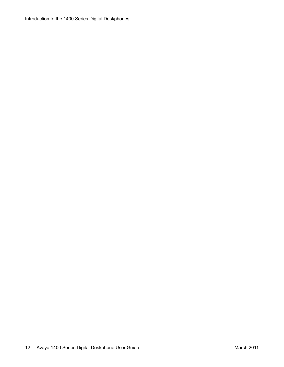Introduction to the 1400 Series Digital Deskphones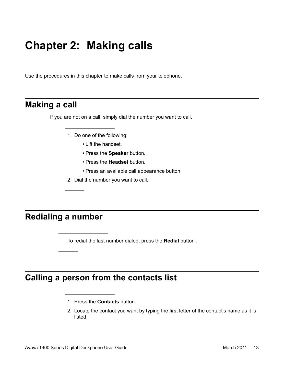# <span id="page-12-0"></span>**Chapter 2: Making calls**

Use the procedures in this chapter to make calls from your telephone.

## **Making a call**

If you are not on a call, simply dial the number you want to call.

- 1. Do one of the following:
	- Lift the handset.
	- Press the **Speaker** button.
	- Press the **Headset** button.
	- Press an available call appearance button.
- 2. Dial the number you want to call.

#### **Redialing a number**

To redial the last number dialed, press the **Redial** button .

# **Calling a person from the contacts list**

- 1. Press the **Contacts** button.
- 2. Locate the contact you want by typing the first letter of the contact's name as it is listed.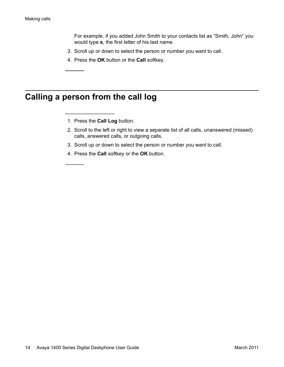<span id="page-13-0"></span>For example, if you added John Smith to your contacts list as "Smith, John" you would type **s**, the first letter of his last name.

- 3. Scroll up or down to select the person or number you want to call.
- 4. Press the **OK** button or the **Call** softkey.

## **Calling a person from the call log**

- 1. Press the **Call Log** button.
- 2. Scroll to the left or right to view a separate list of all calls, unanswered (missed) calls, answered calls, or outgoing calls.
- 3. Scroll up or down to select the person or number you want to call.
- 4. Press the **Call** softkey or the **OK** button.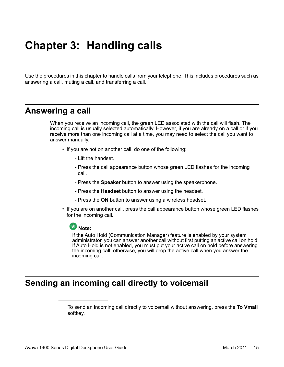# <span id="page-14-0"></span>**Chapter 3: Handling calls**

Use the procedures in this chapter to handle calls from your telephone. This includes procedures such as answering a call, muting a call, and transferring a call.

#### **Answering a call**

When you receive an incoming call, the green LED associated with the call will flash. The incoming call is usually selected automatically. However, if you are already on a call or if you receive more than one incoming call at a time, you may need to select the call you want to answer manually.

- If you are not on another call, do one of the following:
	- Lift the handset.
	- Press the call appearance button whose green LED flashes for the incoming call.
	- Press the **Speaker** button to answer using the speakerphone.
	- Press the **Headset** button to answer using the headset.
	- Press the **ON** button to answer using a wireless headset.
- If you are on another call, press the call appearance button whose green LED flashes for the incoming call.

#### $\bullet$  Note:

If the Auto Hold (Communication Manager) feature is enabled by your system administrator, you can answer another call without first putting an active call on hold. If Auto Hold is not enabled, you must put your active call on hold before answering the incoming call; otherwise, you will drop the active call when you answer the incoming call.

### **Sending an incoming call directly to voicemail**

To send an incoming call directly to voicemail without answering, press the **To Vmail** softkey.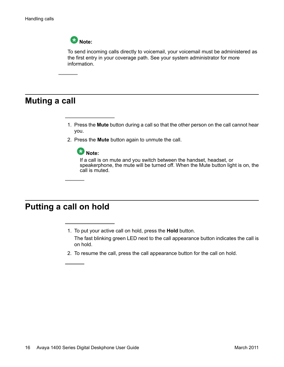<span id="page-15-0"></span>

To send incoming calls directly to voicemail, your voicemail must be administered as the first entry in your coverage path. See your system administrator for more information.

## **Muting a call**

- 1. Press the **Mute** button during a call so that the other person on the call cannot hear you.
- 2. Press the **Mute** button again to unmute the call.



If a call is on mute and you switch between the handset, headset, or speakerphone, the mute will be turned off. When the Mute button light is on, the call is muted.

### **Putting a call on hold**

- 1. To put your active call on hold, press the **Hold** button.
	- The fast blinking green LED next to the call appearance button indicates the call is on hold.
- 2. To resume the call, press the call appearance button for the call on hold.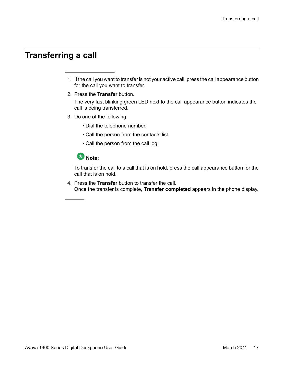# <span id="page-16-0"></span>**Transferring a call**

- 1. If the call you want to transfer is not your active call, press the call appearance button for the call you want to transfer.
- 2. Press the **Transfer** button.

The very fast blinking green LED next to the call appearance button indicates the call is being transferred.

- 3. Do one of the following:
	- Dial the telephone number.
	- Call the person from the contacts list.
	- Call the person from the call log.



To transfer the call to a call that is on hold, press the call appearance button for the call that is on hold.

4. Press the **Transfer** button to transfer the call. Once the transfer is complete, **Transfer completed** appears in the phone display.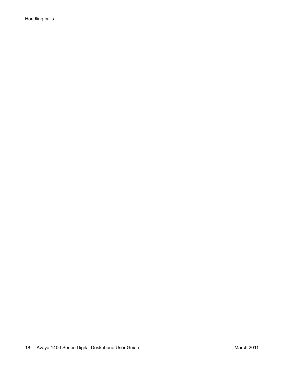Handling calls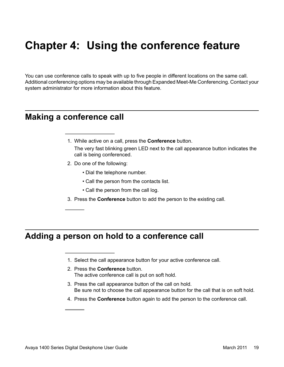# <span id="page-18-0"></span>**Chapter 4: Using the conference feature**

You can use conference calls to speak with up to five people in different locations on the same call. Additional conferencing options may be available through Expanded Meet-Me Conferencing. Contact your system administrator for more information about this feature.

### **Making a conference call**

1. While active on a call, press the **Conference** button.

The very fast blinking green LED next to the call appearance button indicates the call is being conferenced.

- 2. Do one of the following:
	- Dial the telephone number.
	- Call the person from the contacts list.
	- Call the person from the call log.
- 3. Press the **Conference** button to add the person to the existing call.

### **Adding a person on hold to a conference call**

- 1. Select the call appearance button for your active conference call.
- 2. Press the **Conference** button. The active conference call is put on soft hold.
- 3. Press the call appearance button of the call on hold. Be sure not to choose the call appearance button for the call that is on soft hold.
- 4. Press the **Conference** button again to add the person to the conference call.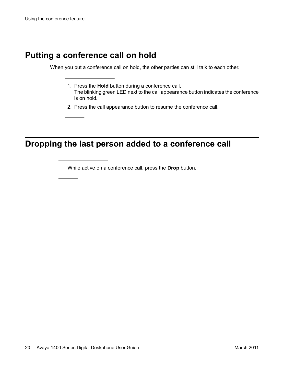# <span id="page-19-0"></span>**Putting a conference call on hold**

When you put a conference call on hold, the other parties can still talk to each other.

- 1. Press the **Hold** button during a conference call. The blinking green LED next to the call appearance button indicates the conference is on hold.
- 2. Press the call appearance button to resume the conference call.

## **Dropping the last person added to a conference call**

While active on a conference call, press the **Drop** button.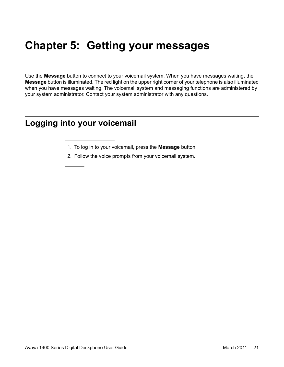# <span id="page-20-0"></span>**Chapter 5: Getting your messages**

Use the **Message** button to connect to your voicemail system. When you have messages waiting, the **Message** button is illuminated. The red light on the upper right corner of your telephone is also illuminated when you have messages waiting. The voicemail system and messaging functions are administered by your system administrator. Contact your system administrator with any questions.

# **Logging into your voicemail**

- 1. To log in to your voicemail, press the **Message** button.
- 2. Follow the voice prompts from your voicemail system.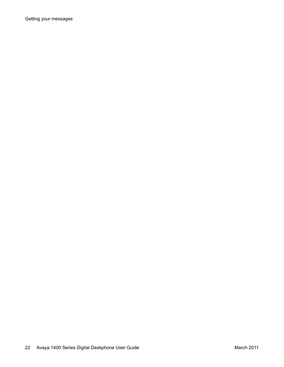Getting your messages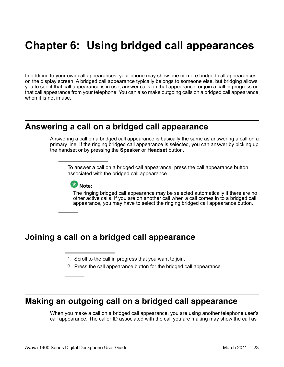# <span id="page-22-0"></span>**Chapter 6: Using bridged call appearances**

In addition to your own call appearances, your phone may show one or more bridged call appearances on the display screen. A bridged call appearance typically belongs to someone else, but bridging allows you to see if that call appearance is in use, answer calls on that appearance, or join a call in progress on that call appearance from your telephone. You can also make outgoing calls on a bridged call appearance when it is not in use.

#### **Answering a call on a bridged call appearance**

Answering a call on a bridged call appearance is basically the same as answering a call on a primary line. If the ringing bridged call appearance is selected, you can answer by picking up the handset or by pressing the **Speaker** or **Headset** button.

To answer a call on a bridged call appearance, press the call appearance button associated with the bridged call appearance.



The ringing bridged call appearance may be selected automatically if there are no other active calls. If you are on another call when a call comes in to a bridged call appearance, you may have to select the ringing bridged call appearance button.

### **Joining a call on a bridged call appearance**

- 1. Scroll to the call in progress that you want to join.
- 2. Press the call appearance button for the bridged call appearance.

#### **Making an outgoing call on a bridged call appearance**

When you make a call on a bridged call appearance, you are using another telephone user's call appearance. The caller ID associated with the call you are making may show the call as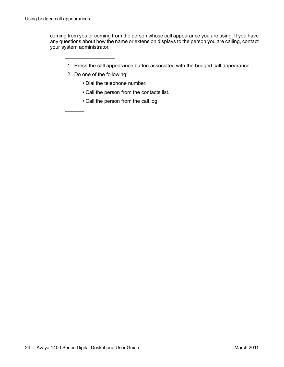coming from you or coming from the person whose call appearance you are using. If you have any questions about how the name or extension displays to the person you are calling, contact your system administrator.

- 1. Press the call appearance button associated with the bridged call appearance.
- 2. Do one of the following:
	- Dial the telephone number.
	- Call the person from the contacts list.
	- Call the person from the call log.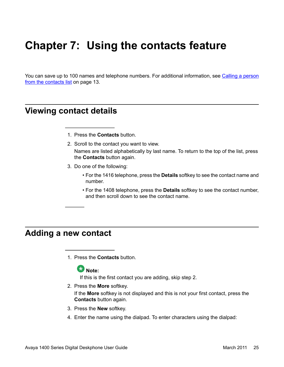# <span id="page-24-0"></span>**Chapter 7: Using the contacts feature**

You can save up to 100 names and telephone numbers. For additional information, see [Calling a person](#page-12-0) [from the contacts list](#page-12-0) on page 13.

### **Viewing contact details**

- 1. Press the **Contacts** button.
- 2. Scroll to the contact you want to view.
	- Names are listed alphabetically by last name. To return to the top of the list, press the **Contacts** button again.
- 3. Do one of the following:
	- For the 1416 telephone, press the **Details** softkey to see the contact name and number.
	- For the 1408 telephone, press the **Details** softkey to see the contact number, and then scroll down to see the contact name.

#### **Adding a new contact**

1. Press the **Contacts** button.

#### **Note:**

If this is the first contact you are adding, skip step 2.

2. Press the **More** softkey.

If the **More** softkey is not displayed and this is not your first contact, press the **Contacts** button again.

- 3. Press the **New** softkey.
- 4. Enter the name using the dialpad. To enter characters using the dialpad: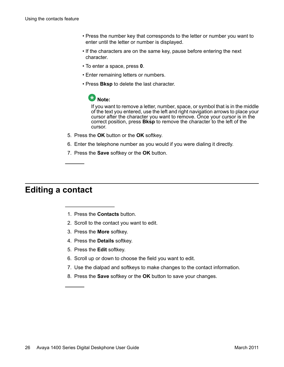- <span id="page-25-0"></span>• Press the number key that corresponds to the letter or number you want to enter until the letter or number is displayed.
- If the characters are on the same key, pause before entering the next character.
- To enter a space, press **0**.
- Enter remaining letters or numbers.
- Press **Bksp** to delete the last character.



If you want to remove a letter, number, space, or symbol that is in the middle of the text you entered, use the left and right navigation arrows to place your cursor after the character you want to remove. Once your cursor is in the correct position, press **Bksp** to remove the character to the left of the cursor.

- 5. Press the **OK** button or the **OK** softkey.
- 6. Enter the telephone number as you would if you were dialing it directly.
- 7. Press the **Save** softkey or the **OK** button.

#### **Editing a contact**

- 1. Press the **Contacts** button.
- 2. Scroll to the contact you want to edit.
- 3. Press the **More** softkey.
- 4. Press the **Details** softkey.
- 5. Press the **Edit** softkey.
- 6. Scroll up or down to choose the field you want to edit.
- 7. Use the dialpad and softkeys to make changes to the contact information.
- 8. Press the **Save** softkey or the **OK** button to save your changes.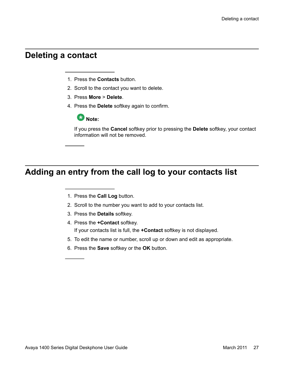### <span id="page-26-0"></span>**Deleting a contact**

- 1. Press the **Contacts** button.
- 2. Scroll to the contact you want to delete.
- 3. Press **More** > **Delete**.
- 4. Press the **Delete** softkey again to confirm.



If you press the **Cancel** softkey prior to pressing the **Delete** softkey, your contact information will not be removed.

# **Adding an entry from the call log to your contacts list**

- 1. Press the **Call Log** button.
- 2. Scroll to the number you want to add to your contacts list.
- 3. Press the **Details** softkey.
- 4. Press the **+Contact** softkey. If your contacts list is full, the **+Contact** softkey is not displayed.
- 5. To edit the name or number, scroll up or down and edit as appropriate.
- 6. Press the **Save** softkey or the **OK** button.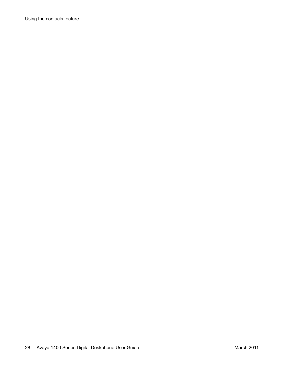Using the contacts feature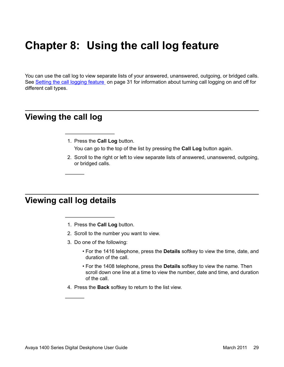# <span id="page-28-0"></span>**Chapter 8: Using the call log feature**

You can use the call log to view separate lists of your answered, unanswered, outgoing, or bridged calls. See [Setting the call logging feature](#page-30-0) on page 31 for information about turning call logging on and off for different call types.

#### **Viewing the call log**

1. Press the **Call Log** button.

You can go to the top of the list by pressing the **Call Log** button again.

2. Scroll to the right or left to view separate lists of answered, unanswered, outgoing, or bridged calls.

# **Viewing call log details**

- 1. Press the **Call Log** button.
- 2. Scroll to the number you want to view.
- 3. Do one of the following:
	- For the 1416 telephone, press the **Details** softkey to view the time, date, and duration of the call.
	- For the 1408 telephone, press the **Details** softkey to view the name. Then scroll down one line at a time to view the number, date and time, and duration of the call.
- 4. Press the **Back** softkey to return to the list view.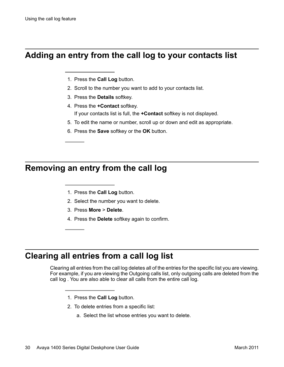# <span id="page-29-0"></span>**Adding an entry from the call log to your contacts list**

- 1. Press the **Call Log** button.
- 2. Scroll to the number you want to add to your contacts list.
- 3. Press the **Details** softkey.
- 4. Press the **+Contact** softkey. If your contacts list is full, the **+Contact** softkey is not displayed.
- 5. To edit the name or number, scroll up or down and edit as appropriate.
- 6. Press the **Save** softkey or the **OK** button.

## **Removing an entry from the call log**

- 1. Press the **Call Log** button.
- 2. Select the number you want to delete.
- 3. Press **More** > **Delete**.
- 4. Press the **Delete** softkey again to confirm.

### **Clearing all entries from a call log list**

Clearing all entries from the call log deletes all of the entries for the specific list you are viewing. For example, if you are viewing the Outgoing calls list, only outgoing calls are deleted from the call log . You are also able to clear all calls from the entire call log.

- 1. Press the **Call Log** button.
- 2. To delete entries from a specific list:
	- a. Select the list whose entries you want to delete.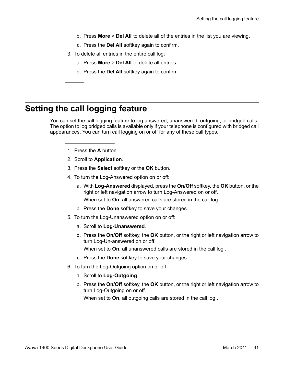- <span id="page-30-0"></span>b. Press **More** > **Del All** to delete all of the entries in the list you are viewing.
- c. Press the **Del All** softkey again to confirm.
- 3. To delete all entries in the entire call log:
	- a. Press **More** > **Del All** to delete all entries.
	- b. Press the **Del All** softkey again to confirm.

## **Setting the call logging feature**

You can set the call logging feature to log answered, unanswered, outgoing, or bridged calls. The option to log bridged calls is available only if your telephone is configured with bridged call appearances. You can turn call logging on or off for any of these call types.

- 1. Press the **A** button.
- 2. Scroll to **Application**.
- 3. Press the **Select** softkey or the **OK** button.
- 4. To turn the Log-Answered option on or off:
	- a. With **Log-Answered** displayed, press the **On/Off** softkey, the **OK** button, or the right or left navigation arrow to turn Log-Answered on or off. When set to **On**, all answered calls are stored in the call log .
	- b. Press the **Done** softkey to save your changes.
- 5. To turn the Log-Unanswered option on or off:
	- a. Scroll to **Log-Unanswered**.
	- b. Press the **On/Off** softkey, the **OK** button, or the right or left navigation arrow to turn Log-Un-answered on or off.

When set to **On**, all unanswered calls are stored in the call log .

- c. Press the **Done** softkey to save your changes.
- 6. To turn the Log-Outgoing option on or off:
	- a. Scroll to **Log-Outgoing**.
	- b. Press the **On/Off** softkey, the **OK** button, or the right or left navigation arrow to turn Log-Outgoing on or off.

When set to **On**, all outgoing calls are stored in the call log .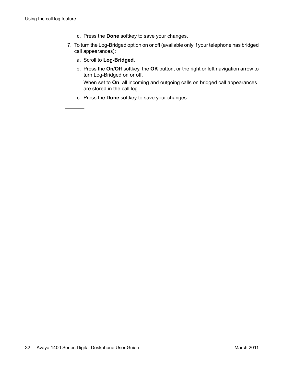- c. Press the **Done** softkey to save your changes.
- 7. To turn the Log-Bridged option on or off (available only if your telephone has bridged call appearances):
	- a. Scroll to **Log-Bridged**.
	- b. Press the **On/Off** softkey, the **OK** button, or the right or left navigation arrow to turn Log-Bridged on or off.

When set to **On**, all incoming and outgoing calls on bridged call appearances are stored in the call log .

c. Press the **Done** softkey to save your changes.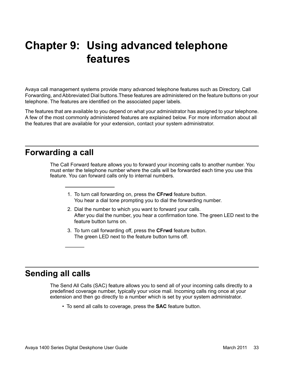# <span id="page-32-0"></span>**Chapter 9: Using advanced telephone features**

Avaya call management systems provide many advanced telephone features such as Directory, Call Forwarding, and Abbreviated Dial buttons.These features are administered on the feature buttons on your telephone. The features are identified on the associated paper labels.

The features that are available to you depend on what your administrator has assigned to your telephone. A few of the most commonly administered features are explained below. For more information about all the features that are available for your extension, contact your system administrator.

#### **Forwarding a call**

The Call Forward feature allows you to forward your incoming calls to another number. You must enter the telephone number where the calls will be forwarded each time you use this feature. You can forward calls only to internal numbers.

- 1. To turn call forwarding on, press the **CFrwd** feature button. You hear a dial tone prompting you to dial the forwarding number.
- 2. Dial the number to which you want to forward your calls. After you dial the number, you hear a confirmation tone. The green LED next to the feature button turns on.
- 3. To turn call forwarding off, press the **CFrwd** feature button. The green LED next to the feature button turns off.

## **Sending all calls**

The Send All Calls (SAC) feature allows you to send all of your incoming calls directly to a predefined coverage number, typically your voice mail. Incoming calls ring once at your extension and then go directly to a number which is set by your system administrator.

• To send all calls to coverage, press the **SAC** feature button.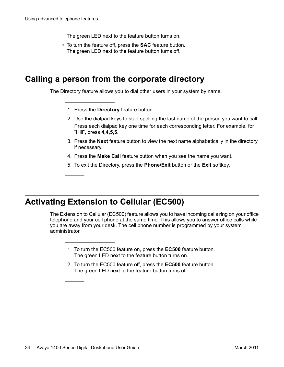The green LED next to the feature button turns on.

<span id="page-33-0"></span>• To turn the feature off, press the **SAC** feature button. The green LED next to the feature button turns off.

#### **Calling a person from the corporate directory**

The Directory feature allows you to dial other users in your system by name.

- 1. Press the **Directory** feature button.
- 2. Use the dialpad keys to start spelling the last name of the person you want to call. Press each dialpad key one time for each corresponding letter. For example, for "Hill", press **4,4,5,5**.
- 3. Press the **Next** feature button to view the next name alphabetically in the directory, if necessary.
- 4. Press the **Make Call** feature button when you see the name you want.
- 5. To exit the Directory, press the **Phone/Exit** button or the **Exit** softkey.

### **Activating Extension to Cellular (EC500)**

The Extension to Cellular (EC500) feature allows you to have incoming calls ring on your office telephone and your cell phone at the same time. This allows you to answer office calls while you are away from your desk. The cell phone number is programmed by your system administrator.

- 1. To turn the EC500 feature on, press the **EC500** feature button. The green LED next to the feature button turns on.
- 2. To turn the EC500 feature off, press the **EC500** feature button. The green LED next to the feature button turns off.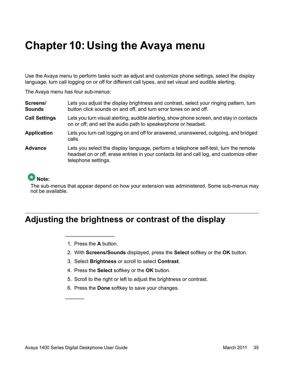# <span id="page-34-0"></span>**Chapter 10: Using the Avaya menu**

Use the Avaya menu to perform tasks such as adjust and customize phone settings, select the display language, turn call logging on or off for different call types, and set visual and audible alerting.

The Avaya menu has four sub-menus:

- **Screens/ Sounds** Lets you adjust the display brightness and contrast, select your ringing pattern, turn button click sounds on and off, and turn error tones on and off.
- **Call Settings** Lets you turn visual alerting, audible alerting, show phone screen, and stay in contacts on or off; and set the audio path to speakerphone or headset.
- **Application** Lets you turn call logging on and off for answered, unanswered, outgoing, and bridged calls.
- **Advance** Lets you select the display language, perform a telephone self-test, turn the remote headset on or off, erase entries in your contacts list and call log, and customize other telephone settings.

#### **Note:**

The sub-menus that appear depend on how your extension was administered. Some sub-menus may not be available.

# **Adjusting the brightness or contrast of the display**

- 1. Press the **A** button.
- 2. With **Screens/Sounds** displayed, press the **Select** softkey or the **OK** button.
- 3. Select **Brightness** or scroll to select **Contrast**.
- 4. Press the **Select** softkey or the **OK** button.
- 5. Scroll to the right or left to adjust the brightness or contrast.
- 6. Press the **Done** softkey to save your changes.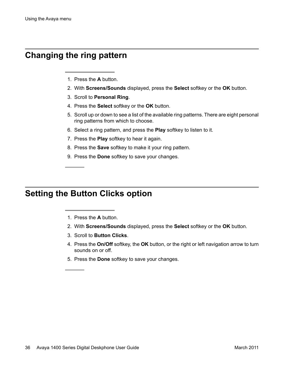# <span id="page-35-0"></span>**Changing the ring pattern**

- 1. Press the **A** button.
- 2. With **Screens/Sounds** displayed, press the **Select** softkey or the **OK** button.
- 3. Scroll to **Personal Ring**.
- 4. Press the **Select** softkey or the **OK** button.
- 5. Scroll up or down to see a list of the available ring patterns. There are eight personal ring patterns from which to choose.
- 6. Select a ring pattern, and press the **Play** softkey to listen to it.
- 7. Press the **Play** softkey to hear it again.
- 8. Press the **Save** softkey to make it your ring pattern.
- 9. Press the **Done** softkey to save your changes.

## **Setting the Button Clicks option**

- 1. Press the **A** button.
- 2. With **Screens/Sounds** displayed, press the **Select** softkey or the **OK** button.
- 3. Scroll to **Button Clicks**.
- 4. Press the **On/Off** softkey, the **OK** button, or the right or left navigation arrow to turn sounds on or off.
- 5. Press the **Done** softkey to save your changes.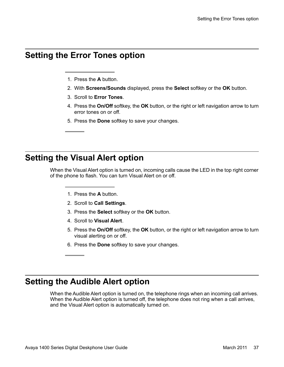## <span id="page-36-0"></span>**Setting the Error Tones option**

- 1. Press the **A** button.
- 2. With **Screens/Sounds** displayed, press the **Select** softkey or the **OK** button.
- 3. Scroll to **Error Tones**.
- 4. Press the **On/Off** softkey, the **OK** button, or the right or left navigation arrow to turn error tones on or off.
- 5. Press the **Done** softkey to save your changes.

## **Setting the Visual Alert option**

When the Visual Alert option is turned on, incoming calls cause the LED in the top right corner of the phone to flash. You can turn Visual Alert on or off.

- 1. Press the **A** button.
- 2. Scroll to **Call Settings**.
- 3. Press the **Select** softkey or the **OK** button.
- 4. Scroll to **Visual Alert**.
- 5. Press the **On/Off** softkey, the **OK** button, or the right or left navigation arrow to turn visual alerting on or off.
- 6. Press the **Done** softkey to save your changes.

# **Setting the Audible Alert option**

When the Audible Alert option is turned on, the telephone rings when an incoming call arrives. When the Audible Alert option is turned off, the telephone does not ring when a call arrives, and the Visual Alert option is automatically turned on.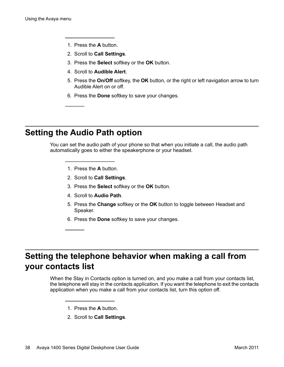- <span id="page-37-0"></span>1. Press the **A** button.
- 2. Scroll to **Call Settings**.
- 3. Press the **Select** softkey or the **OK** button.
- 4. Scroll to **Audible Alert**.
- 5. Press the **On/Off** softkey, the **OK** button, or the right or left navigation arrow to turn Audible Alert on or off.
- 6. Press the **Done** softkey to save your changes.

## **Setting the Audio Path option**

You can set the audio path of your phone so that when you initiate a call, the audio path automatically goes to either the speakerphone or your headset.

- 1. Press the **A** button.
- 2. Scroll to **Call Settings**.
- 3. Press the **Select** softkey or the **OK** button.
- 4. Scroll to **Audio Path**.
- 5. Press the **Change** softkey or the **OK** button to toggle between Headset and Speaker.
- 6. Press the **Done** softkey to save your changes.

# **Setting the telephone behavior when making a call from your contacts list**

When the Stay in Contacts option is turned on, and you make a call from your contacts list, the telephone will stay in the contacts application. If you want the telephone to exit the contacts application when you make a call from your contacts list, turn this option off.

- 1. Press the **A** button.
- 2. Scroll to **Call Settings**.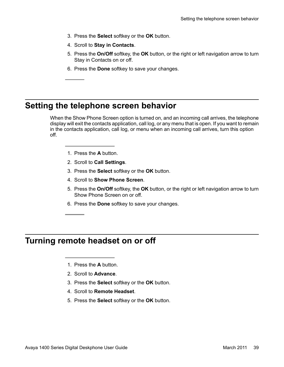- <span id="page-38-0"></span>3. Press the **Select** softkey or the **OK** button.
- 4. Scroll to **Stay in Contacts**.
- 5. Press the **On/Off** softkey, the **OK** button, or the right or left navigation arrow to turn Stay in Contacts on or off.
- 6. Press the **Done** softkey to save your changes.

### **Setting the telephone screen behavior**

When the Show Phone Screen option is turned on, and an incoming call arrives, the telephone display will exit the contacts application, call log, or any menu that is open. If you want to remain in the contacts application, call log, or menu when an incoming call arrives, turn this option off.

- 1. Press the **A** button.
- 2. Scroll to **Call Settings**.
- 3. Press the **Select** softkey or the **OK** button.
- 4. Scroll to **Show Phone Screen**.
- 5. Press the **On/Off** softkey, the **OK** button, or the right or left navigation arrow to turn Show Phone Screen on or off.
- 6. Press the **Done** softkey to save your changes.

### **Turning remote headset on or off**

- 1. Press the **A** button.
- 2. Scroll to **Advance**.
- 3. Press the **Select** softkey or the **OK** button.
- 4. Scroll to **Remote Headset**.
- 5. Press the **Select** softkey or the **OK** button.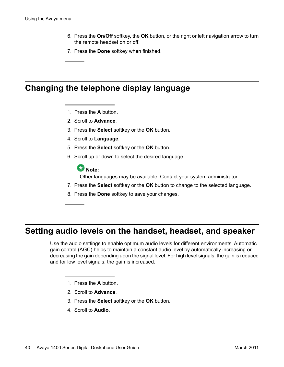- <span id="page-39-0"></span>6. Press the **On/Off** softkey, the **OK** button, or the right or left navigation arrow to turn the remote headset on or off.
- 7. Press the **Done** softkey when finished.

## **Changing the telephone display language**

- 1. Press the **A** button.
- 2. Scroll to **Advance**.
- 3. Press the **Select** softkey or the **OK** button.
- 4. Scroll to **Language**.
- 5. Press the **Select** softkey or the **OK** button.
- 6. Scroll up or down to select the desired language.

#### **Note:**

Other languages may be available. Contact your system administrator.

- 7. Press the **Select** softkey or the **OK** button to change to the selected language.
- 8. Press the **Done** softkey to save your changes.

# **Setting audio levels on the handset, headset, and speaker**

Use the audio settings to enable optimum audio levels for different environments. Automatic gain control (AGC) helps to maintain a constant audio level by automatically increasing or decreasing the gain depending upon the signal level. For high level signals, the gain is reduced and for low level signals, the gain is increased.

- 1. Press the **A** button.
- 2. Scroll to **Advance**.
- 3. Press the **Select** softkey or the **OK** button.
- 4. Scroll to **Audio**.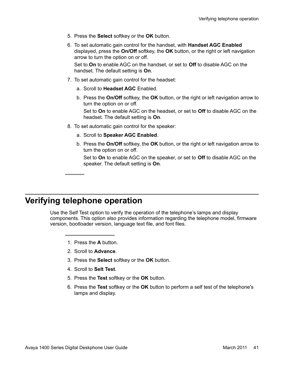- <span id="page-40-0"></span>5. Press the **Select** softkey or the **OK** button.
- 6. To set automatic gain control for the handset, with **Handset AGC Enabled** displayed, press the **On/Off** softkey, the **OK** button, or the right or left navigation arrow to turn the option on or off.

Set to **On** to enable AGC on the handset, or set to **Off** to disable AGC on the handset. The default setting is **On**.

- 7. To set automatic gain control for the headset:
	- a. Scroll to **Headset AGC** Enabled.
	- b. Press the **On/Off** softkey, the **OK** button, or the right or left navigation arrow to turn the option on or off.

Set to **On** to enable AGC on the headset, or set to **Off** to disable AGC on the headset. The default setting is **On**.

- 8. To set automatic gain control for the speaker:
	- a. Scroll to **Speaker AGC Enabled**.
	- b. Press the **On/Off** softkey, the **OK** button, or the right or left navigation arrow to turn the option on or off.

Set to **On** to enable AGC on the speaker, or set to **Off** to disable AGC on the speaker. The default setting is **On**.

### **Verifying telephone operation**

Use the Self Test option to verify the operation of the telephone's lamps and display components. This option also provides information regarding the telephone model, firmware version, bootloader version, language text file, and font files.

- 1. Press the **A** button.
- 2. Scroll to **Advance**.
- 3. Press the **Select** softkey or the **OK** button.
- 4. Scroll to **Selt Test**.
- 5. Press the **Test** softkey or the **OK** button.
- 6. Press the **Test** softkey or the **OK** button to perform a self test of the telephone's lamps and display.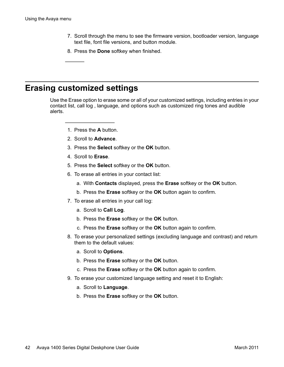- <span id="page-41-0"></span>7. Scroll through the menu to see the firmware version, bootloader version, language text file, font file versions, and button module.
- 8. Press the **Done** softkey when finished.

### **Erasing customized settings**

Use the Erase option to erase some or all of your customized settings, including entries in your contact list, call log , language, and options such as customized ring tones and audible alerts.

- 1. Press the **A** button.
- 2. Scroll to **Advance**.
- 3. Press the **Select** softkey or the **OK** button.
- 4. Scroll to **Erase**.
- 5. Press the **Select** softkey or the **OK** button.
- 6. To erase all entries in your contact list:
	- a. With **Contacts** displayed, press the **Erase** softkey or the **OK** button.
	- b. Press the **Erase** softkey or the **OK** button again to confirm.
- 7. To erase all entries in your call log:
	- a. Scroll to **Call Log**.
	- b. Press the **Erase** softkey or the **OK** button.
	- c. Press the **Erase** softkey or the **OK** button again to confirm.
- 8. To erase your personalized settings (excluding language and contrast) and return them to the default values:
	- a. Scroll to **Options**.
	- b. Press the **Erase** softkey or the **OK** button.
	- c. Press the **Erase** softkey or the **OK** button again to confirm.
- 9. To erase your customized language setting and reset it to English:
	- a. Scroll to **Language**.
	- b. Press the **Erase** softkey or the **OK** button.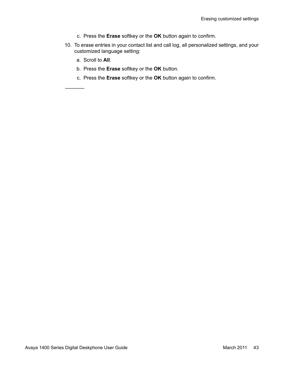- c. Press the **Erase** softkey or the **OK** button again to confirm.
- 10. To erase entries in your contact list and call log, all personalized settings, and your customized language setting:
	- a. Scroll to **All**.
	- b. Press the **Erase** softkey or the **OK** button.
	- c. Press the **Erase** softkey or the **OK** button again to confirm.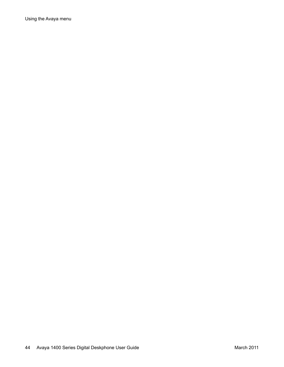Using the Avaya menu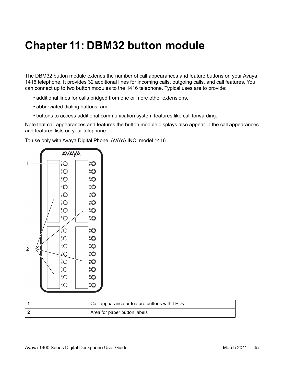# <span id="page-44-0"></span>**Chapter 11: DBM32 button module**

The DBM32 button module extends the number of call appearances and feature buttons on your Avaya 1416 telephone. It provides 32 additional lines for incoming calls, outgoing calls, and call features. You can connect up to two button modules to the 1416 telephone. Typical uses are to provide:

- additional lines for calls bridged from one or more other extensions,
- abbreviated dialing buttons, and
- buttons to access additional communication system features like call forwarding.

Note that call appearances and features the button module displays also appear in the call appearances and features lists on your telephone.

To use only with Avaya Digital Phone, AVAYA INC, model 1416.



| Call appearance or feature buttons with LEDs |
|----------------------------------------------|
| Area for paper button labels                 |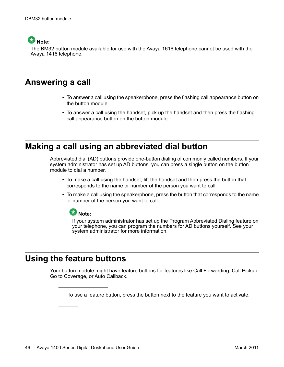# <span id="page-45-0"></span> $\bullet$  Note:

The BM32 button module available for use with the Avaya 1616 telephone cannot be used with the Avaya 1416 telephone.

### **Answering a call**

- To answer a call using the speakerphone, press the flashing call appearance button on the button module.
- To answer a call using the handset, pick up the handset and then press the flashing call appearance button on the button module.

## **Making a call using an abbreviated dial button**

Abbreviated dial (AD) buttons provide one-button dialing of commonly called numbers. If your system administrator has set up AD buttons, you can press a single button on the button module to dial a number.

- To make a call using the handset, lift the handset and then press the button that corresponds to the name or number of the person you want to call.
- To make a call using the speakerphone, press the button that corresponds to the name or number of the person you want to call.

#### **Note:**

If your system administrator has set up the Program Abbreviated Dialing feature on your telephone, you can program the numbers for AD buttons yourself. See your system administrator for more information.

## **Using the feature buttons**

Your button module might have feature buttons for features like Call Forwarding, Call Pickup, Go to Coverage, or Auto Callback.

To use a feature button, press the button next to the feature you want to activate.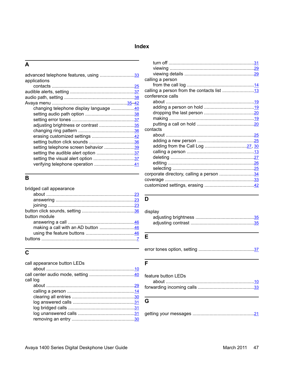#### **Index**

#### <span id="page-46-0"></span>**A**

| advanced telephone features, using 33<br>applications |  |
|-------------------------------------------------------|--|
|                                                       |  |
|                                                       |  |
|                                                       |  |
|                                                       |  |
| changing telephone display language 40                |  |
|                                                       |  |
|                                                       |  |
| adjusting brightness or contrast 35                   |  |
|                                                       |  |
|                                                       |  |
|                                                       |  |
| setting telephone screen behavior 39                  |  |
|                                                       |  |
|                                                       |  |
|                                                       |  |

#### **B**

bridged call appearance

| button module |  |
|---------------|--|
|               |  |
|               |  |
|               |  |
|               |  |
|               |  |

#### **C**

| call appearance button LEDs |  |
|-----------------------------|--|
|                             |  |
|                             |  |
| call log                    |  |
|                             |  |
|                             |  |
|                             |  |
|                             |  |
|                             |  |
|                             |  |
|                             |  |
|                             |  |

| calling a person                           |  |
|--------------------------------------------|--|
|                                            |  |
| calling a person from the contacts list 13 |  |
| conference calls                           |  |
|                                            |  |
|                                            |  |
|                                            |  |
|                                            |  |
|                                            |  |
| contacts                                   |  |
|                                            |  |
|                                            |  |
|                                            |  |
|                                            |  |
|                                            |  |
|                                            |  |
|                                            |  |
| corporate directory, calling a person 34   |  |
|                                            |  |
|                                            |  |
|                                            |  |

#### **D**

| display |  |
|---------|--|
|         |  |
|         |  |
|         |  |

#### **E**

|--|--|--|--|

#### **F**

| feature button LEDs |  |
|---------------------|--|
|                     |  |
|                     |  |
|                     |  |

#### **G**

|--|--|